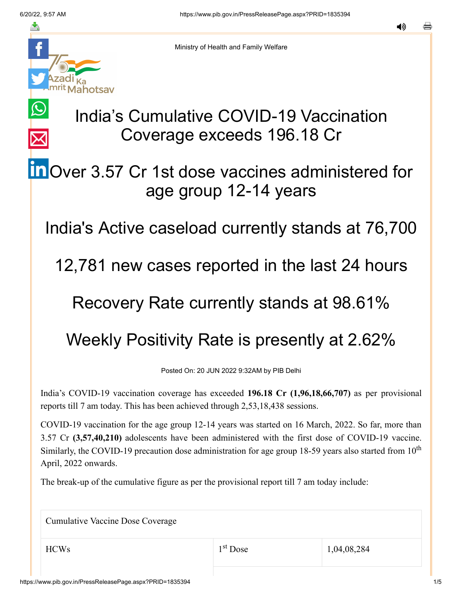$\bigcirc$ 

 $\overline{\times}$ 



Ministry of Health and Family Welfare

## India's Cumulative COVID-19 Vaccination Coverage exceeds 196.18 Cr

## **in** [O](https://www.linkedin.com/shareArticle?mini=true&url=https://pib.gov.in/PressReleasePage.aspx?PRID=1835394&title=India%E2%80%99s%20Cumulative%20COVID-19%20Vaccination%20Coverage%20exceeds%20196.18%20Cr&summary=My%20favorite%20developer%20program&source=LinkedIn)ver 3.57 Cr 1st dose vaccines administered for age group 12-14 years

India's Active caseload currently stands at 76,700

12,781 new cases reported in the last 24 hours

## Recovery Rate currently stands at 98.61%

## Weekly Positivity Rate is presently at 2.62%

Posted On: 20 JUN 2022 9:32AM by PIB Delhi

India's COVID-19 vaccination coverage has exceeded **196.18 Cr (1,96,18,66,707)** as per provisional reports till 7 am today. This has been achieved through 2,53,18,438 sessions.

COVID-19 vaccination for the age group 12-14 years was started on 16 March, 2022. So far, more than 3.57 Cr **(3,57,40,210)** adolescents have been administered with the first dose of COVID-19 vaccine. Similarly, the COVID-19 precaution dose administration for age group 18-59 years also started from  $10<sup>th</sup>$ April, 2022 onwards.

The break-up of the cumulative figure as per the provisional report till 7 am today include:

Cumulative Vaccine Dose Coverage

1<sup>st</sup> Dose

 $1^{\text{st}}$  Dose 1,04,08,284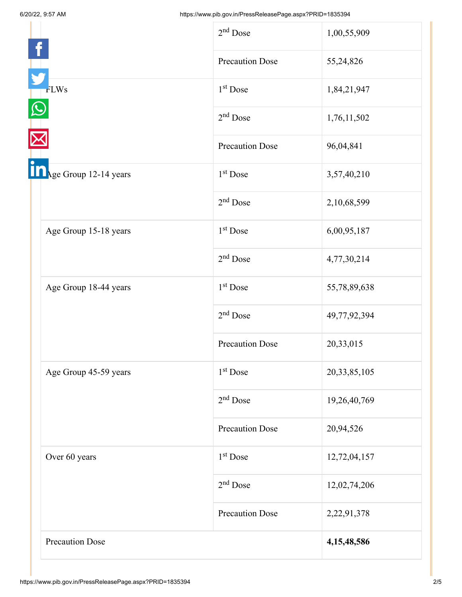|                        | $2nd$ Dose             | 1,00,55,909     |
|------------------------|------------------------|-----------------|
|                        | <b>Precaution Dose</b> | 55,24,826       |
| <b>FLWs</b>            | 1 <sup>st</sup> Dose   | 1,84,21,947     |
|                        | $2nd$ Dose             | 1,76,11,502     |
|                        | <b>Precaution Dose</b> | 96,04,841       |
| Age Group 12-14 years  | 1 <sup>st</sup> Dose   | 3,57,40,210     |
|                        | $2nd$ Dose             | 2,10,68,599     |
| Age Group 15-18 years  | 1 <sup>st</sup> Dose   | 6,00,95,187     |
|                        | $2nd$ Dose             | 4,77,30,214     |
| Age Group 18-44 years  | $1st$ Dose             | 55,78,89,638    |
|                        | $2nd$ Dose             | 49,77,92,394    |
|                        | <b>Precaution Dose</b> | 20,33,015       |
| Age Group 45-59 years  | 1 <sup>st</sup> Dose   | 20, 33, 85, 105 |
|                        | $2nd$ Dose             | 19,26,40,769    |
|                        | <b>Precaution Dose</b> | 20,94,526       |
| Over 60 years          | 1 <sup>st</sup> Dose   | 12,72,04,157    |
|                        | $2nd$ Dose             | 12,02,74,206    |
|                        | <b>Precaution Dose</b> | 2,22,91,378     |
| <b>Precaution Dose</b> |                        | 4, 15, 48, 586  |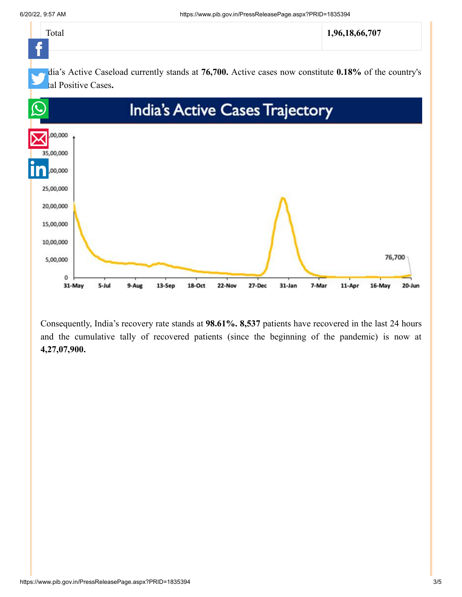

Consequently, India's recovery rate stands at **98.61%. 8,537** patients have recovered in the last 24 hours and the cumulative tally of recovered patients (since the beginning of the pandemic) is now at **4,27,07,900.**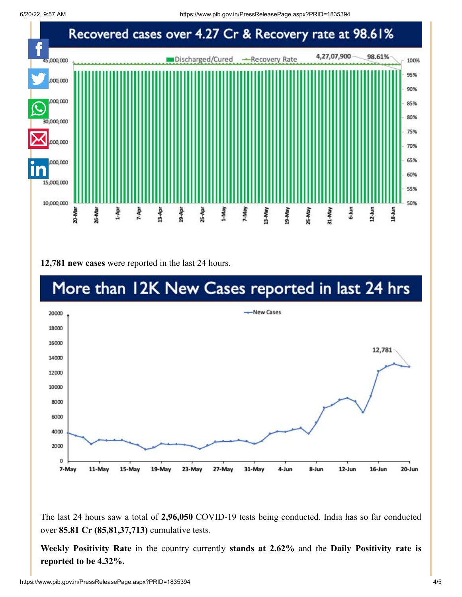

**12,781 new cases** were reported in the last 24 hours.



The last 24 hours saw a total of **2,96,050** COVID-19 tests being conducted. India has so far conducted over **85.81 Cr (85,81,37,713)** cumulative tests.

**Weekly Positivity Rate** in the country currently **stands at 2.62%** and the **Daily Positivity rate is reported to be 4.32%.**